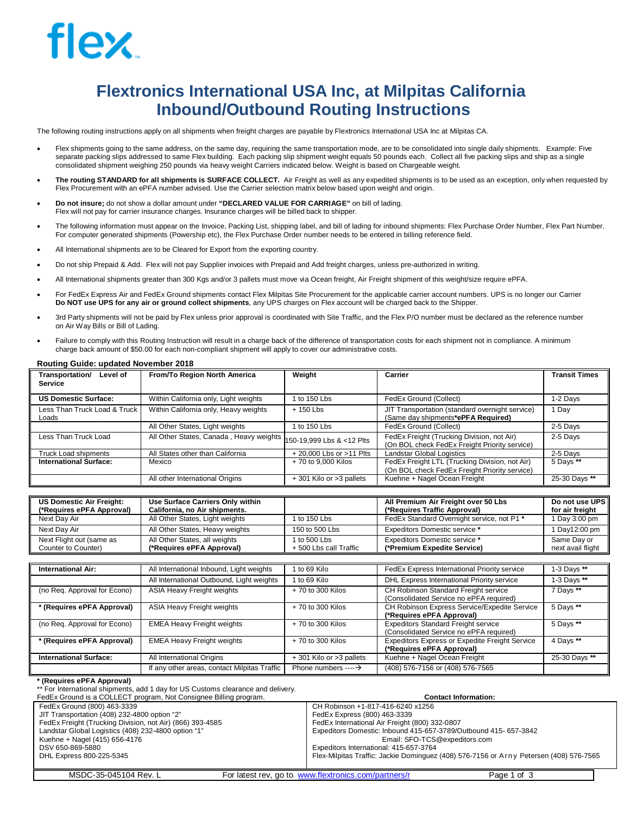# **Flextronics International USA Inc, at Milpitas California Inbound/Outbound Routing Instructions**

The following routing instructions apply on all shipments when freight charges are payable by Flextronics International USA Inc at Milpitas CA.

- · Flex shipments going to the same address, on the same day, requiring the same transportation mode, are to be consolidated into single daily shipments. Example: Five separate packing slips addressed to same Flex building. Each packing slip shipment weight equals 50 pounds each. Collect all five packing slips and ship as a single consolidated shipment weighing 250 pounds via heavy weight Carriers indicated below. Weight is based on Chargeable weight.
- The routing STANDARD for all shipments is SURFACE COLLECT. Air Freight as well as any expedited shipments is to be used as an exception, only when requested by Flex Procurement with an ePFA number advised. Use the Carrier selection matrix below based upon weight and origin.
- · **Do not insure;** do not show a dollar amount under **"DECLARED VALUE FOR CARRIAGE"** on bill of lading. Flex will not pay for carrier insurance charges. Insurance charges will be billed back to shipper.
- The following information must appear on the Invoice, Packing List, shipping label, and bill of lading for inbound shipments: Flex Purchase Order Number, Flex Part Number. For computer generated shipments (Powership etc), the Flex Purchase Order number needs to be entered in billing reference field.
- All International shipments are to be Cleared for Export from the exporting country.
- · Do not ship Prepaid & Add. Flex will not pay Supplier invoices with Prepaid and Add freight charges, unless pre-authorized in writing.
- · All International shipments greater than 300 Kgs and/or 3 pallets must move via Ocean freight, Air Freight shipment of this weight/size require ePFA.
- For FedEx Express Air and FedEx Ground shipments contact Flex Milpitas Site Procurement for the applicable carrier account numbers. UPS is no longer our Carrier **Do NOT use UPS for any air or ground collect shipments**, any UPS charges on Flex account will be charged back to the Shipper.
- 3rd Party shipments will not be paid by Flex unless prior approval is coordinated with Site Traffic, and the Flex P/O number must be declared as the reference number on Air Way Bills or Bill of Lading.
- Failure to comply with this Routing Instruction will result in a charge back of the difference of transportation costs for each shipment not in compliance. A minimum charge back amount of \$50.00 for each non-compliant shipment will apply to cover our administrative costs.

| Transportation/<br>Level of<br><b>Service</b> | From/To Region North America            | Weight                      | Carrier                                                                                         | <b>Transit Times</b> |
|-----------------------------------------------|-----------------------------------------|-----------------------------|-------------------------------------------------------------------------------------------------|----------------------|
| <b>US Domestic Surface:</b>                   |                                         | 1 to $150$ l bs             |                                                                                                 |                      |
|                                               | Within California only, Light weights   |                             | FedEx Ground (Collect)                                                                          | 1-2 Davs             |
| Less Than Truck Load & Truck<br>Loads         | Within California only, Heavy weights   | $+150$ Lbs                  | JIT Transportation (standard overnight service)<br>(Same day shipments*ePFA Required)           | 1 Dav                |
|                                               | All Other States, Light weights         | 1 to 150 Lbs                | FedEx Ground (Collect)                                                                          | 2-5 Days             |
| Less Than Truck Load                          | All Other States, Canada, Heavy weights | 150-19,999 Lbs & <12 Plts   | FedEx Freight (Trucking Division, not Air)<br>(On BOL check FedEx Freight Priority service)     | 2-5 Davs             |
| Truck Load shipments                          | All States other than California        | $+20,000$ Lbs or $>11$ Plts | <b>Landstar Global Logistics</b>                                                                | 2-5 Davs             |
| <b>International Surface:</b>                 | Mexico                                  | + 70 to 9.000 Kilos         | FedEx Freight LTL (Trucking Division, not Air)<br>(On BOL check FedEx Freight Priority service) | 5 Days **            |
|                                               | All other International Origins         | +301 Kilo or >3 pallets     | Kuehne + Nagel Ocean Freight                                                                    | 25-30 Days **        |

#### **Routing Guide: updated November 2018**

| <b>US Domestic Air Freight:</b> | Use Surface Carriers Only within |                        | All Premium Air Freight over 50 Lbs        | Do not use UPS    |
|---------------------------------|----------------------------------|------------------------|--------------------------------------------|-------------------|
| (*Requires ePFA Approval)       | California, no Air shipments.    |                        | (*Requires Traffic Approval)               | for air freight   |
| Next Dav Air                    | All Other States, Light weights  | 1 to 150 Lbs           | FedEx Standard Overnight service, not P1 * | 1 Day 3:00 pm     |
| Next Dav Air                    | All Other States, Heavy weights  | 150 to 500 Lbs         | <b>Expeditors Domestic service *</b>       | 1 Day12:00 pm     |
| Next Flight out (same as        | All Other States, all weights    | 1 to 500 Lbs           | <b>Expeditors Domestic service *</b>       | Same Dav or       |
| Counter to Counter)             | (*Requires ePFA Approval)        | + 500 Lbs call Traffic | (*Premium Expedite Service)                | next avail flight |

| <b>International Air:</b>     | All International Inbound, Light weights     | 1 to 69 Kilo                   | FedEx Express International Priority service                                          | 1-3 Days **   |
|-------------------------------|----------------------------------------------|--------------------------------|---------------------------------------------------------------------------------------|---------------|
|                               | All International Outbound, Light weights    | 1 to 69 Kilo                   | DHL Express International Priority service                                            | 1-3 Days **   |
| (no Reg. Approval for Econo)  | ASIA Heavy Freight weights                   |                                | CH Robinson Standard Freight service<br>(Consolidated Service no ePFA required)       | 7 Days **     |
| * (Requires ePFA Approval)    | ASIA Heavy Freight weights                   | $+70$ to 300 Kilos             | CH Robinson Express Service/Expedite Service<br>(*Requires ePFA Approval)             | 5 Days **     |
| (no Reg. Approval for Econo)  | <b>EMEA Heavy Freight weights</b>            | $+70$ to 300 Kilos             | <b>Expeditors Standard Freight service</b><br>(Consolidated Service no ePFA required) | 5 Days **     |
| * (Requires ePFA Approval)    | <b>EMEA Heavy Freight weights</b>            | $+70$ to 300 Kilos             | <b>Expeditors Express or Expedite Freight Service</b><br>(*Requires ePFA Approval)    | 4 Days **     |
| <b>International Surface:</b> | All International Origins                    | +301 Kilo or >3 pallets        | Kuehne + Nagel Ocean Freight                                                          | 25-30 Days ** |
|                               | If any other areas, contact Milpitas Traffic | Phone numbers $---\rightarrow$ | (408) 576-7156 or (408) 576-7565                                                      |               |

#### **\* (Requires ePFA Approval)**

\*\* For International shipments, add 1 day for US Customs clearance and delivery.

FedEx Ground is a COLLECT program, Not Consignee Billing program.

| FedEx Ground (800) 463-3339                               | CH Robinson +1-817-416-6240 x1256                                                      |
|-----------------------------------------------------------|----------------------------------------------------------------------------------------|
| JIT Transportation (408) 232-4800 option "2"              | FedEx Express (800) 463-3339                                                           |
| FedEx Freight (Trucking Division, not Air) (866) 393-4585 | FedEx International Air Freight (800) 332-0807                                         |
| Landstar Global Logistics (408) 232-4800 option "1"       | Expeditors Domestic: Inbound 415-657-3789/Outbound 415- 657-3842                       |
| Kuehne + Nagel (415) 656-4176                             | Email: SFO-TCS@expeditors.com                                                          |
| DSV 650-869-5880                                          | Expeditors International: 415-657-3764                                                 |
| DHL Express 800-225-5345                                  | Flex-Milpitas Traffic: Jackie Dominguez (408) 576-7156 or Arny Petersen (408) 576-7565 |
|                                                           |                                                                                        |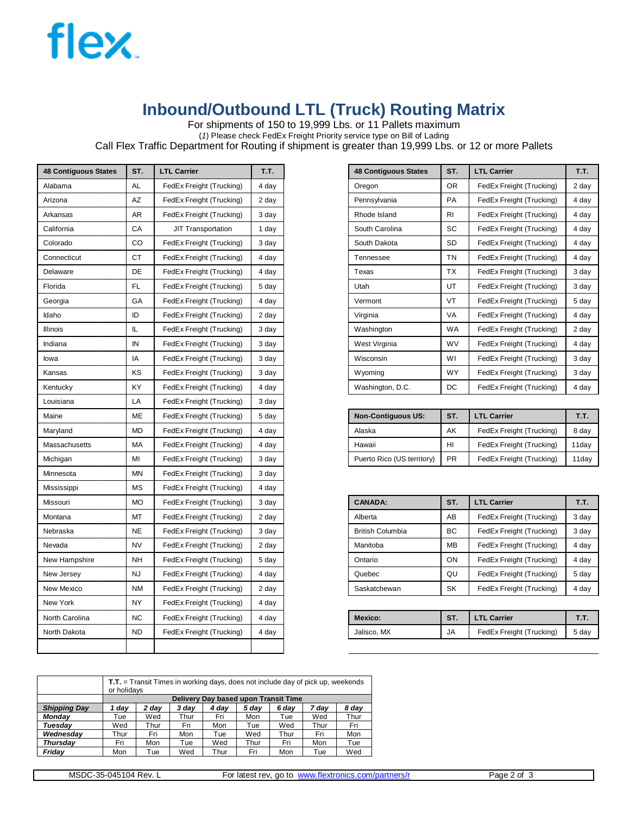

# **Inbound/Outbound LTL (Truck) Routing Matrix**

For shipments of 150 to 19,999 Lbs. or 11 Pallets maximum

(*1*) Please check FedEx Freight Priority service type on Bill of Lading

Call Flex Traffic Department for Routing if shipment is greater than 19,999 Lbs. or 12 or more Pallets

| <b>48 Contiguous States</b> | ST.       | <b>LTL Carrier</b>        | T.T.  |
|-----------------------------|-----------|---------------------------|-------|
| Alabama                     | AL        | FedEx Freight (Trucking)  | 4 day |
| Arizona                     | AZ        | FedEx Freight (Trucking)  | 2 day |
| Arkansas                    | AR        | FedEx Freight (Trucking)  | 3 day |
| California                  | СA        | <b>JIT Transportation</b> | 1 day |
| Colorado                    | CO        | FedEx Freight (Trucking)  | 3 day |
| Connecticut                 | СT        | FedEx Freight (Trucking)  | 4 day |
| Delaware                    | DE        | FedEx Freight (Trucking)  | 4 day |
| Florida                     | FL        | FedEx Freight (Trucking)  | 5 day |
| Georgia                     | GA        | FedEx Freight (Trucking)  | 4 day |
| Idaho                       | ID        | FedEx Freight (Trucking)  | 2 day |
| Illinois                    | IL        | FedEx Freight (Trucking)  | 3 day |
| Indiana                     | IN        | FedEx Freight (Trucking)  | 3 day |
| lowa                        | IA        | FedEx Freight (Trucking)  | 3 day |
| Kansas                      | κs        | FedEx Freight (Trucking)  | 3 day |
| Kentucky                    | ΚY        | FedEx Freight (Trucking)  | 4 day |
| Louisiana                   | LA        | FedEx Freight (Trucking)  | 3 day |
| Maine                       | ME        | FedEx Freight (Trucking)  | 5 day |
| Maryland                    | МD        | FedEx Freight (Trucking)  | 4 day |
| Massachusetts               | МA        | FedEx Freight (Trucking)  | 4 day |
| Michigan                    | мі        | FedEx Freight (Trucking)  | 3 day |
| Minnesota                   | <b>MN</b> | FedEx Freight (Trucking)  | 3 day |
| Mississippi                 | МS        | FedEx Freight (Trucking)  | 4 day |
| Missouri                    | MО        | FedEx Freight (Trucking)  | 3 day |
| Montana                     | мт        | FedEx Freight (Trucking)  | 2 day |
| Nebraska                    | NE        | FedEx Freight (Trucking)  | 3 day |
| Nevada                      | NV        | FedEx Freight (Trucking)  | 2 day |
| New Hampshire               | NΗ        | FedEx Freight (Trucking)  | 5 day |
| New Jersey                  | NJ        | FedEx Freight (Trucking)  | 4 day |
| New Mexico                  | ΝM        | FedEx Freight (Trucking)  | 2 day |
| New York                    | NY        | FedEx Freight (Trucking)  | 4 day |
| North Carolina              | NC        | FedEx Freight (Trucking)  | 4 day |
| North Dakota                | <b>ND</b> | FedEx Freight (Trucking)  | 4 day |
|                             |           |                           |       |

| <b>48 Contiguous States</b> | ST.       | <b>LTL Carrier</b>        | T.T.  |
|-----------------------------|-----------|---------------------------|-------|
|                             |           |                           |       |
| Alabama                     | <b>AL</b> | FedEx Freight (Trucking)  | 4 day |
| Arizona                     | AZ        | FedEx Freight (Trucking)  | 2 day |
| Arkansas                    | AR        | FedEx Freight (Trucking)  | 3 day |
| California                  | CA        | <b>JIT Transportation</b> | 1 day |
| Colorado                    | CO        | FedEx Freight (Trucking)  | 3 day |
| Connecticut                 | <b>CT</b> | FedEx Freight (Trucking)  | 4 day |
| Delaware                    | <b>DE</b> | FedEx Freight (Trucking)  | 4 day |
| Florida                     | FL.       | FedEx Freight (Trucking)  | 5 day |
| Georgia                     | GA        | FedEx Freight (Trucking)  | 4 day |
| Idaho                       | ID        | FedEx Freight (Trucking)  | 2 day |
| <b>Illinois</b>             | IL.       | FedEx Freight (Trucking)  | 3 day |
| Indiana                     | IN        | FedEx Freight (Trucking)  | 3 day |
| lowa                        | IA        | FedEx Freight (Trucking)  | 3 day |
| Kansas                      | <b>KS</b> | FedEx Freight (Trucking)  | 3 day |
| Kentucky                    | <b>KY</b> | FedEx Freight (Trucking)  | 4 day |
|                             |           |                           |       |

| Maine         | ME        | FedEx Freight (Trucking) | 5 dav | <b>Non-Contiguous US:</b>  | ST.       | <b>LTL Carrier</b>       |       |
|---------------|-----------|--------------------------|-------|----------------------------|-----------|--------------------------|-------|
| Maryland      | <b>MD</b> | FedEx Freight (Trucking) | 4 dav | Alaska                     | AK        | FedEx Freight (Trucking) | 8 dav |
| Massachusetts | MA        | FedEx Freight (Trucking) | 4 dav | Hawaii                     | HI        | FedEx Freight (Trucking) | 11dav |
| Michigan      | MI        | FedEx Freight (Trucking) | 3 dav | Puerto Rico (US territory) | <b>PR</b> | FedEx Freight (Trucking) | 11dav |

|               | <b>MO</b> | FedEx Freight (Trucking) | 3 day | <b>CANADA:</b>          | <b>ST</b> | <b>LTL Carrier</b>       | T.T   |
|---------------|-----------|--------------------------|-------|-------------------------|-----------|--------------------------|-------|
| Montana       | MT        | FedEx Freight (Trucking) | 2 day | Alberta                 | AB        | FedEx Freight (Trucking) | 3 day |
| Nebraska      | <b>NE</b> | FedEx Freight (Trucking) | 3 day | <b>British Columbia</b> | <b>BC</b> | FedEx Freight (Trucking) | 3 day |
| Nevada        | <b>NV</b> | FedEx Freight (Trucking) | 2 day | Manitoba                | <b>MB</b> | FedEx Freight (Trucking) | 4 day |
| New Hampshire | <b>NH</b> | FedEx Freight (Trucking) | 5 dav | Ontario                 | ON        | FedEx Freight (Trucking) | 4 day |
| New Jersev    | <b>NJ</b> | FedEx Freight (Trucking) | 4 day | Quebec                  | QL        | FedEx Freight (Trucking) | 5 day |
| New Mexico    | <b>NM</b> | FedEx Freight (Trucking) | 2 day | Saskatchewan            | <b>SK</b> | FedEx Freight (Trucking) | 4 day |

| $r \wedge r \wedge r$<br>еш<br>– <b>A</b> | <br>--------------------<br>North Carolina<br>------------<br>--------------------- | <b>NC</b> | "ruckina)<br>. rojak<br><b>CULA</b><br>$\cdot$ | 4 day | Mexico           | $\sim$<br>১। | Carrier                     | --<br>. |
|-------------------------------------------|-------------------------------------------------------------------------------------|-----------|------------------------------------------------|-------|------------------|--------------|-----------------------------|---------|
| $\cdot$<br><br>                           | North Dakota                                                                        | <b>ND</b> | ' ruckina)<br><b>CULA</b>                      | 4 day | . MX<br>Jalisco. | JA           | reigh.<br>Trucking)<br>⊏edL | 5 dav   |

|                     |                                                                      | <b>T.T.</b> = Transit Times in working days, does not include day of pick up, weekends<br>or holidays |      |      |      |      |      |      |  |  |
|---------------------|----------------------------------------------------------------------|-------------------------------------------------------------------------------------------------------|------|------|------|------|------|------|--|--|
|                     |                                                                      | Delivery Day based upon Transit Time                                                                  |      |      |      |      |      |      |  |  |
| <b>Shipping Day</b> | 8 day<br>2 dav<br>3 dav<br>7 dav<br>1 dav<br>4 dav<br>5 dav<br>6 dav |                                                                                                       |      |      |      |      |      |      |  |  |
| Mondav              | Tue                                                                  | Wed                                                                                                   | Thur | Fri  | Mon  | Tue  | Wed  | Thur |  |  |
| Tuesdav             | Wed                                                                  | Thur                                                                                                  | Fri  | Mon  | Tue  | Wed  | Thur | Fri  |  |  |
| Wednesdav           | Thur                                                                 | Fri                                                                                                   | Mon  | Tue  | Wed  | Thur | Fri  | Mon  |  |  |
| <b>Thursdav</b>     | Fri                                                                  | Mon                                                                                                   | Tue  | Wed  | Thur | Fri  | Mon  | Tue  |  |  |
| Fridav              | Mon                                                                  | Tue                                                                                                   | Wed  | Thur | Fri  | Mon  | Tue  | Wed  |  |  |